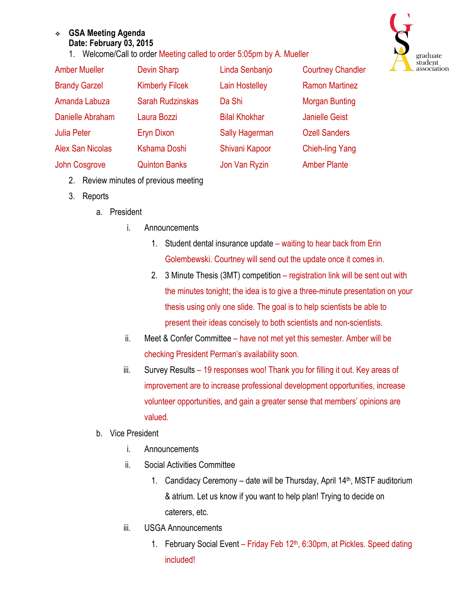## <sup>v</sup> **GSA Meeting Agenda Date: February 03, 2015**

1. Welcome/Call to order Meeting called to order 5:05pm by A. Mueller



| <b>Amber Mueller</b>    | <b>Devin Sharp</b>      | Linda Senbanjo        | <b>Courtney Chandler</b> |
|-------------------------|-------------------------|-----------------------|--------------------------|
| <b>Brandy Garzel</b>    | <b>Kimberly Filcek</b>  | <b>Lain Hostelley</b> | <b>Ramon Martinez</b>    |
| Amanda Labuza           | <b>Sarah Rudzinskas</b> | Da Shi                | <b>Morgan Bunting</b>    |
| Danielle Abraham        | Laura Bozzi             | <b>Bilal Khokhar</b>  | <b>Janielle Geist</b>    |
| <b>Julia Peter</b>      | <b>Eryn Dixon</b>       | <b>Sally Hagerman</b> | <b>Ozell Sanders</b>     |
| <b>Alex San Nicolas</b> | <b>Kshama Doshi</b>     | Shivani Kapoor        | <b>Chieh-ling Yang</b>   |
| John Cosgrove           | <b>Quinton Banks</b>    | Jon Van Ryzin         | <b>Amber Plante</b>      |

- 2. Review minutes of previous meeting
- 3. Reports
	- a. President
		- i. Announcements
			- 1. Student dental insurance update waiting to hear back from Erin Golembewski. Courtney will send out the update once it comes in.
			- 2. 3 Minute Thesis (3MT) competition registration link will be sent out with the minutes tonight; the idea is to give a three-minute presentation on your thesis using only one slide. The goal is to help scientists be able to present their ideas concisely to both scientists and non-scientists.
		- ii. Meet & Confer Committee have not met yet this semester. Amber will be checking President Perman's availability soon.
		- iii. Survey Results 19 responses woo! Thank you for filling it out. Key areas of improvement are to increase professional development opportunities, increase volunteer opportunities, and gain a greater sense that members' opinions are valued.
	- b. Vice President
		- i. Announcements
		- ii. Social Activities Committee
			- 1. Candidacy Ceremony date will be Thursday, April  $14<sup>th</sup>$ , MSTF auditorium & atrium. Let us know if you want to help plan! Trying to decide on caterers, etc.
		- iii. USGA Announcements
			- 1. February Social Event Friday Feb 12<sup>th</sup>, 6:30pm, at Pickles. Speed dating included!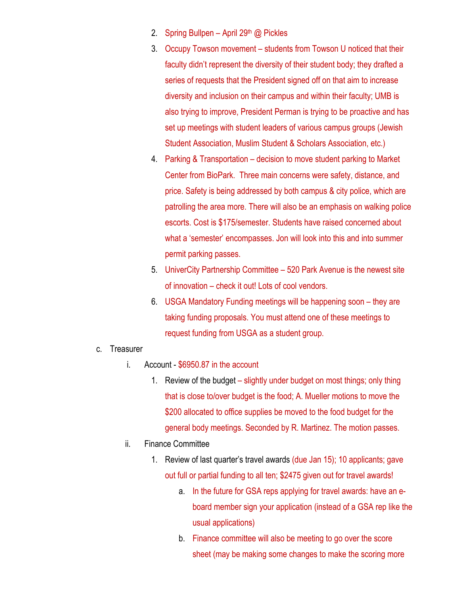- 2. Spring Bullpen April 29<sup>th</sup> @ Pickles
- 3. Occupy Towson movement students from Towson U noticed that their faculty didn't represent the diversity of their student body; they drafted a series of requests that the President signed off on that aim to increase diversity and inclusion on their campus and within their faculty; UMB is also trying to improve, President Perman is trying to be proactive and has set up meetings with student leaders of various campus groups (Jewish Student Association, Muslim Student & Scholars Association, etc.)
- 4. Parking & Transportation decision to move student parking to Market Center from BioPark. Three main concerns were safety, distance, and price. Safety is being addressed by both campus & city police, which are patrolling the area more. There will also be an emphasis on walking police escorts. Cost is \$175/semester. Students have raised concerned about what a 'semester' encompasses. Jon will look into this and into summer permit parking passes.
- 5. UniverCity Partnership Committee 520 Park Avenue is the newest site of innovation – check it out! Lots of cool vendors.
- 6. USGA Mandatory Funding meetings will be happening soon they are taking funding proposals. You must attend one of these meetings to request funding from USGA as a student group.
- c. Treasurer
	- i. Account \$6950.87 in the account
		- 1. Review of the budget slightly under budget on most things; only thing that is close to/over budget is the food; A. Mueller motions to move the \$200 allocated to office supplies be moved to the food budget for the general body meetings. Seconded by R. Martinez. The motion passes.
	- ii. Finance Committee
		- 1. Review of last quarter's travel awards (due Jan 15); 10 applicants; gave out full or partial funding to all ten; \$2475 given out for travel awards!
			- a. In the future for GSA reps applying for travel awards: have an eboard member sign your application (instead of a GSA rep like the usual applications)
			- b. Finance committee will also be meeting to go over the score sheet (may be making some changes to make the scoring more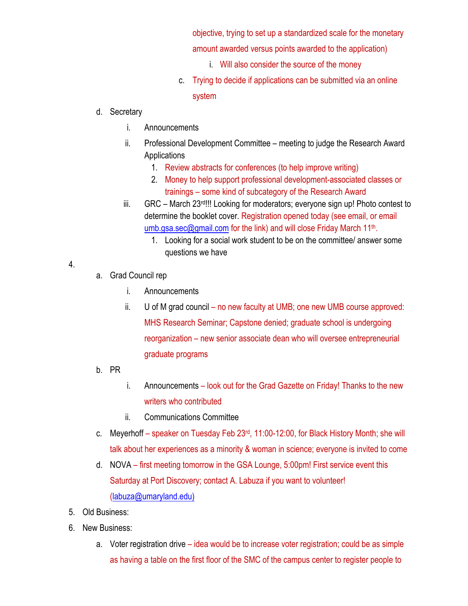objective, trying to set up a standardized scale for the monetary amount awarded versus points awarded to the application)

- i. Will also consider the source of the money
- c. Trying to decide if applications can be submitted via an online system
- d. Secretary
	- i. Announcements
	- ii. Professional Development Committee meeting to judge the Research Award **Applications** 
		- 1. Review abstracts for conferences (to help improve writing)
		- 2. Money to help support professional development-associated classes or trainings – some kind of subcategory of the Research Award
	- iii. GRC March 23rd!!! Looking for moderators; everyone sign up! Photo contest to determine the booklet cover. Registration opened today (see email, or email umb.gsa.sec@gmail.com for the link) and will close Friday March 11<sup>th</sup>.
		- 1. Looking for a social work student to be on the committee/ answer some questions we have

- 4.
- a. Grad Council rep
	- i. Announcements
	- ii. U of M grad council no new faculty at UMB; one new UMB course approved: MHS Research Seminar; Capstone denied; graduate school is undergoing reorganization – new senior associate dean who will oversee entrepreneurial graduate programs
- b. PR
- i. Announcements look out for the Grad Gazette on Friday! Thanks to the new writers who contributed
- ii. Communications Committee
- c. Meyerhoff speaker on Tuesday Feb 23rd, 11:00-12:00, for Black History Month; she will talk about her experiences as a minority & woman in science; everyone is invited to come
- d. NOVA first meeting tomorrow in the GSA Lounge, 5:00pm! First service event this Saturday at Port Discovery; contact A. Labuza if you want to volunteer! (labuza@umaryland.edu)
- 5. Old Business:
- 6. New Business:
	- a. Voter registration drive idea would be to increase voter registration; could be as simple as having a table on the first floor of the SMC of the campus center to register people to